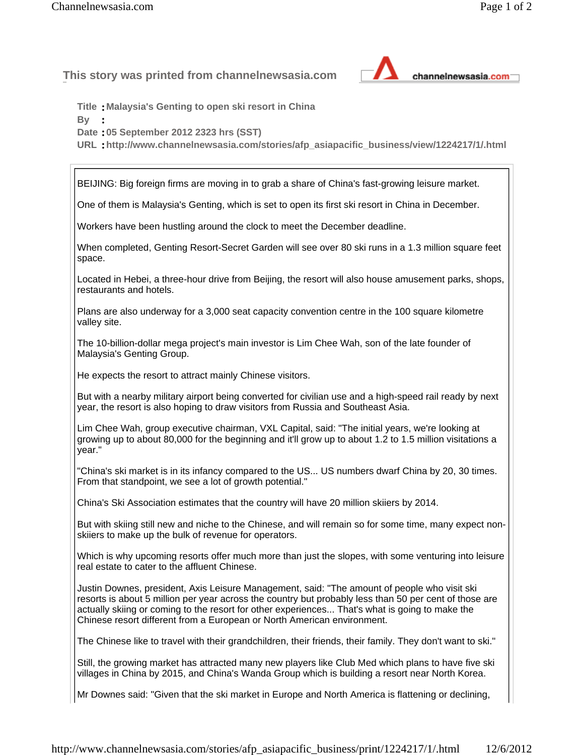**This story was printed from channelnewsasia.com** 



**Title :Malaysia's Genting to open ski resort in China** 

**By :**

**Date :05 September 2012 2323 hrs (SST)** 

**URL :http://www.channelnewsasia.com/stories/afp\_asiapacific\_business/view/1224217/1/.html**

BEIJING: Big foreign firms are moving in to grab a share of China's fast-growing leisure market.

One of them is Malaysia's Genting, which is set to open its first ski resort in China in December.

Workers have been hustling around the clock to meet the December deadline.

When completed, Genting Resort-Secret Garden will see over 80 ski runs in a 1.3 million square feet space.

Located in Hebei, a three-hour drive from Beijing, the resort will also house amusement parks, shops, restaurants and hotels.

Plans are also underway for a 3,000 seat capacity convention centre in the 100 square kilometre valley site.

The 10-billion-dollar mega project's main investor is Lim Chee Wah, son of the late founder of Malaysia's Genting Group.

He expects the resort to attract mainly Chinese visitors.

But with a nearby military airport being converted for civilian use and a high-speed rail ready by next year, the resort is also hoping to draw visitors from Russia and Southeast Asia.

Lim Chee Wah, group executive chairman, VXL Capital, said: "The initial years, we're looking at growing up to about 80,000 for the beginning and it'll grow up to about 1.2 to 1.5 million visitations a year."

"China's ski market is in its infancy compared to the US... US numbers dwarf China by 20, 30 times. From that standpoint, we see a lot of growth potential."

China's Ski Association estimates that the country will have 20 million skiiers by 2014.

But with skiing still new and niche to the Chinese, and will remain so for some time, many expect nonskiiers to make up the bulk of revenue for operators.

Which is why upcoming resorts offer much more than just the slopes, with some venturing into leisure real estate to cater to the affluent Chinese.

Justin Downes, president, Axis Leisure Management, said: "The amount of people who visit ski resorts is about 5 million per year across the country but probably less than 50 per cent of those are actually skiing or coming to the resort for other experiences... That's what is going to make the Chinese resort different from a European or North American environment.

The Chinese like to travel with their grandchildren, their friends, their family. They don't want to ski."

Still, the growing market has attracted many new players like Club Med which plans to have five ski villages in China by 2015, and China's Wanda Group which is building a resort near North Korea.

Mr Downes said: "Given that the ski market in Europe and North America is flattening or declining,